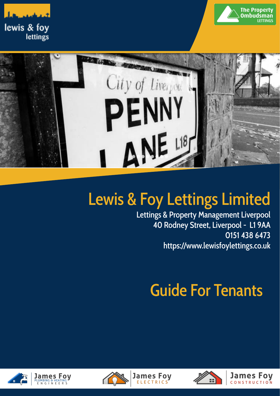





# Lewis & Foy Lettings Limited

Lettings & Property Management Liverpool 40 Rodney Street, Liverpool - L1 9AA 0151 438 6473 [https://www.lewisfoylettings.co.uk](http://www.jamesfoyplumbing.co.uk)

# Guide For Tenants







**James Foy** 

**FIFCTRICS** 

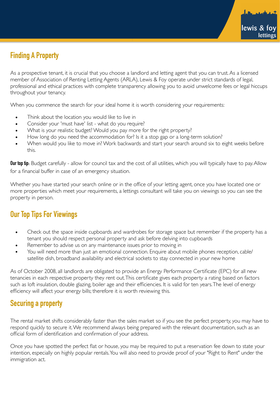# **Finding A Property**

As a prospective tenant, it is crucial that you choose a landlord and letting agent that you can trust. As a licensed member of Association of Renting Letting Agents (ARLA), Lewis & Foy operate under strict standards of legal, professional and ethical practices with complete transparency allowing you to avoid unwelcome fees or legal hiccups throughout your tenancy.

When you commence the search for your ideal home it is worth considering your requirements:

- Think about the location you would like to live in
- Consider your 'must have' list what do you require?
- What is your realistic budget? Would you pay more for the right property?
- How long do you need the accommodation for? Is it a stop gap or a long-term solution?
- When would you like to move in? Work backwards and start your search around six to eight weeks before this.

**Our top tip:** Budget carefully - allow for council tax and the cost of all utilities, which you will typically have to pay. Allow for a financial buffer in case of an emergency situation.

Whether you have started your search online or in the office of your letting agent, once you have located one or more properties which meet your requirements, a lettings consultant will take you on viewings so you can see the property in person.

# **Our Top Tips For Viewings**

- Check out the space inside cupboards and wardrobes for storage space but remember if the property has a tenant you should respect personal property and ask before delving into cupboards
- Remember to advise us on any maintenance issues prior to moving in
- You will need more than just an emotional connection. Enquire about mobile phones reception, cable/ satellite dish, broadband availability and electrical sockets to stay connected in your new home

As of October 2008, all landlords are obligated to provide an Energy Performance Certificate (EPC) for all new tenancies in each respective property they rent out. This certificate gives each property a rating based on factors such as loft insulation, double glazing, boiler age and their efficiencies. It is valid for ten years. The level of energy efficiency will affect your energy bills; therefore it is worth reviewing this.

# **Securing a property**

The rental market shifts considerably faster than the sales market so if you see the perfect property, you may have to respond quickly to secure it. We recommend always being prepared with the relevant documentation, such as an official form of identification and confirmation of your address.

Once you have spotted the perfect flat or house, you may be required to put a reservation fee down to state your intention, especially on highly popular rentals. You will also need to provide proof of your "Right to Rent" under the immigration act.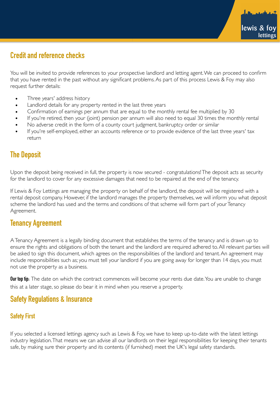# **Credit and reference checks**

You will be invited to provide references to your prospective landlord and letting agent. We can proceed to confirm that you have rented in the past without any significant problems. As part of this process Lewis & Foy may also request further details:

- Three years' address history
- Landlord details for any property rented in the last three years
- Confirmation of earnings per annum that are equal to the monthly rental fee multiplied by 30
- If you're retired, then your (joint) pension per annum will also need to equal 30 times the monthly rental
- No adverse credit in the form of a county court judgment, bankruptcy order or similar
- If you're self-employed, either an accounts reference or to provide evidence of the last three years' tax return

### **The Deposit**

Upon the deposit being received in full, the property is now secured - congratulations! The deposit acts as security for the landlord to cover for any excessive damages that need to be repaired at the end of the tenancy.

If Lewis & Foy Lettings are managing the property on behalf of the landlord, the deposit will be registered with a rental deposit company. However, if the landlord manages the property themselves, we will inform you what deposit scheme the landlord has used and the terms and conditions of that scheme will form part of your Tenancy Agreement.

#### **Tenancy Agreement**

A Tenancy Agreement is a legally binding document that establishes the terms of the tenancy and is drawn up to ensure the rights and obligations of both the tenant and the landlord are required adhered to. All relevant parties will be asked to sign this document, which agrees on the responsibilities of the landlord and tenant. An agreement may include responsibilities such as; you must tell your landlord if you are going away for longer than 14 days, you must not use the property as a business.

**Our top tip:** The date on which the contract commences will become your rents due date. You are unable to change this at a later stage, so please do bear it in mind when you reserve a property.

#### **Safety Regulations & Insurance**

#### **Safety First**

If you selected a licensed lettings agency such as Lewis & Foy, we have to keep up-to-date with the latest lettings industry legislation. That means we can advise all our landlords on their legal responsibilities for keeping their tenants safe, by making sure their property and its contents (if furnished) meet the UK's legal safety standards.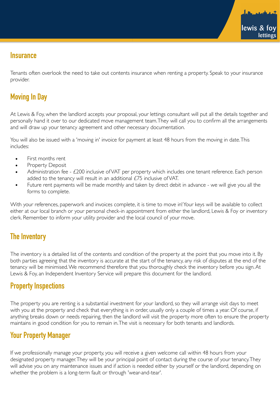#### **Insurance**

Tenants often overlook the need to take out contents insurance when renting a property. Speak to your insurance provider.

# **Moving In Day**

At Lewis & Foy, when the landlord accepts your proposal, your lettings consultant will put all the details together and personally hand it over to our dedicated move management team. They will call you to confirm all the arrangements and will draw up your tenancy agreement and other necessary documentation.

You will also be issued with a 'moving in' invoice for payment at least 48 hours from the moving in date. This includes:

- First months rent
- Property Deposit
- Administration fee £200 inclusive of VAT per property which includes one tenant reference. Each person added to the tenancy will result in an additional £75 inclusive of VAT.
- Future rent payments will be made monthly and taken by direct debit in advance we will give you all the forms to complete.

With your references, paperwork and invoices complete, it is time to move in! Your keys will be available to collect either at our local branch or your personal check-in appointment from either the landlord, Lewis & Foy or inventory clerk. Remember to inform your utility provider and the local council of your move.

# **The Inventory**

The inventory is a detailed list of the contents and condition of the property at the point that you move into it. By both parties agreeing that the inventory is accurate at the start of the tenancy, any risk of disputes at the end of the tenancy will be minimised. We recommend therefore that you thoroughly check the inventory before you sign. At Lewis & Foy, an Independent Inventory Service will prepare this document for the landlord.

# **Property Inspections**

The property you are renting is a substantial investment for your landlord, so they will arrange visit days to meet with you at the property and check that everything is in order, usually only a couple of times a year. Of course, if anything breaks down or needs repairing, then the landlord will visit the property more often to ensure the property maintains in good condition for you to remain in. The visit is necessary for both tenants and landlords.

# **Your Property Manager**

If we professionally manage your property, you will receive a given welcome call within 48 hours from your designated property manager. They will be your principal point of contact during the course of your tenancy. They will advise you on any maintenance issues and if action is needed either by yourself or the landlord, depending on whether the problem is a long-term fault or through 'wear-and-tear'.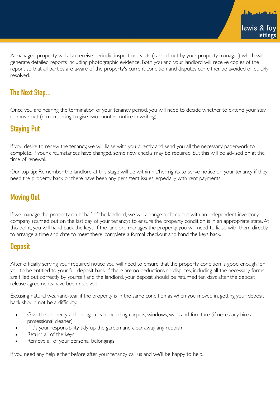A managed property will also receive periodic inspections visits (carried out by your property manager) which will generate detailed reports including photographic evidence. Both you and your landlord will receive copies of the report so that all parties are aware of the property's current condition and disputes can either be avoided or quickly resolved.

### **The Next Step...**

Once you are nearing the termination of your tenancy period, you will need to decide whether to extend your stay or move out (remembering to give two months' notice in writing).

# **Staying Put**

If you desire to renew the tenancy, we will liaise with you directly and send you all the necessary paperwork to complete. If your circumstances have changed, some new checks may be required, but this will be advised on at the time of renewal.

Our top tip: Remember the landlord at this stage will be within his/her rights to serve notice on your tenancy if they need the property back or there have been any persistent issues, especially with rent payments.

#### **Moving Out**

If we manage the property on behalf of the landlord, we will arrange a check out with an independent inventory company (carried out on the last day of your tenancy) to ensure the property condition is in an appropriate state. At this point, you will hand back the keys. If the landlord manages the property, you will need to liaise with them directly to arrange a time and date to meet there, complete a formal checkout and hand the keys back.

#### **Deposit**

After officially serving your required notice you will need to ensure that the property condition is good enough for you to be entitled to your full deposit back. If there are no deductions or disputes, including all the necessary forms are filled out correctly by yourself and the landlord, your deposit should be returned ten days after the deposit release agreements have been received.

Excusing natural wear-and-tear, if the property is in the same condition as when you moved in, getting your deposit back should not be a difficulty.

- Give the property a thorough clean, including carpets, windows, walls and furniture (if necessary hire a professional cleaner)
- If it's your responsibility, tidy up the garden and clear away any rubbish
- Return all of the keys
- Remove all of your personal belongings

If you need any help either before after your tenancy call us and we'll be happy to help.